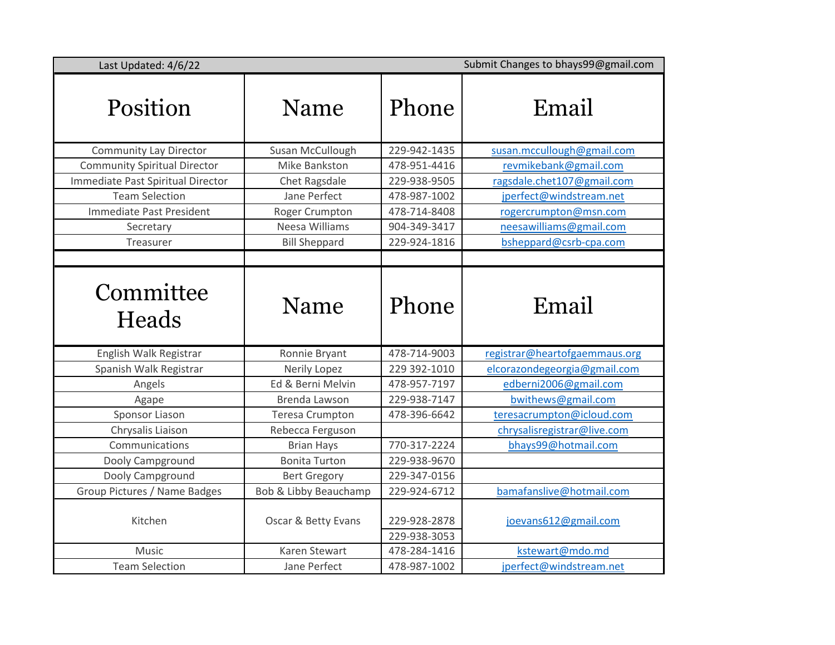| Last Updated: 4/6/22                | Submit Changes to bhays99@gmail.com |                              |                               |
|-------------------------------------|-------------------------------------|------------------------------|-------------------------------|
| Position                            | Name                                | Phone                        | Email                         |
| <b>Community Lay Director</b>       | Susan McCullough                    | 229-942-1435                 | susan.mccullough@gmail.com    |
| <b>Community Spiritual Director</b> | Mike Bankston                       | 478-951-4416                 | revmikebank@gmail.com         |
| Immediate Past Spiritual Director   | Chet Ragsdale                       | 229-938-9505                 | ragsdale.chet107@gmail.com    |
| <b>Team Selection</b>               | Jane Perfect                        | 478-987-1002                 | jperfect@windstream.net       |
| Immediate Past President            | Roger Crumpton                      | 478-714-8408                 | rogercrumpton@msn.com         |
| Secretary                           | Neesa Williams                      | 904-349-3417                 | neesawilliams@gmail.com       |
| Treasurer                           | <b>Bill Sheppard</b>                | 229-924-1816                 | bsheppard@csrb-cpa.com        |
|                                     |                                     |                              |                               |
| Committee<br>Heads                  | Name                                | Phone                        | Email                         |
| English Walk Registrar              | Ronnie Bryant                       | 478-714-9003                 | registrar@heartofgaemmaus.org |
| Spanish Walk Registrar              | Nerily Lopez                        | 229 392-1010                 | elcorazondegeorgia@gmail.com  |
| Angels                              | Ed & Berni Melvin                   | 478-957-7197                 | edberni2006@gmail.com         |
| Agape                               | Brenda Lawson                       | 229-938-7147                 | bwithews@gmail.com            |
| Sponsor Liason                      | <b>Teresa Crumpton</b>              | 478-396-6642                 | teresacrumpton@icloud.com     |
| Chrysalis Liaison                   | Rebecca Ferguson                    |                              | chrysalisregistrar@live.com   |
| Communications                      | <b>Brian Hays</b>                   | 770-317-2224                 | bhays99@hotmail.com           |
| Dooly Campground                    | <b>Bonita Turton</b>                | 229-938-9670                 |                               |
| Dooly Campground                    | <b>Bert Gregory</b>                 | 229-347-0156                 |                               |
| Group Pictures / Name Badges        | Bob & Libby Beauchamp               | 229-924-6712                 | bamafanslive@hotmail.com      |
| Kitchen                             | Oscar & Betty Evans                 | 229-928-2878<br>229-938-3053 | joevans612@gmail.com          |
| <b>Music</b>                        | <b>Karen Stewart</b>                | 478-284-1416                 | kstewart@mdo.md               |
| <b>Team Selection</b>               | Jane Perfect                        | 478-987-1002                 | jperfect@windstream.net       |